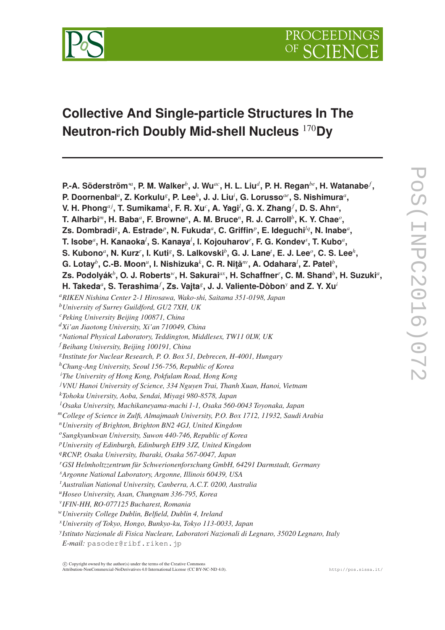

# **Collective And Single-particle Structures In The Neutron-rich Doubly Mid-shell Nucleus** <sup>170</sup>**Dy**

**P.-A. Söderström**∗*<sup>a</sup>* **, P. M. Walker***<sup>b</sup>* **, J. Wu***ac***, H. L. Liu***<sup>d</sup>* **, P. H. Regan***be***, H. Watanabe***<sup>f</sup>* **, P. Doornenbal***<sup>a</sup>* **, Z. Korkulu***<sup>g</sup>* **, P. Lee***<sup>h</sup>* **, J. J. Liu***<sup>i</sup>* **, G. Lorusso***ae***, S. Nishimura***<sup>a</sup>* **, V. H. Phong***a j***, T. Sumikama***<sup>k</sup>* **, F. R. Xu***<sup>c</sup>* **, A. Yagi***<sup>l</sup>* **, G. X. Zhang***<sup>f</sup>* **, D. S. Ahn***<sup>a</sup>* **,**  $\mathbf{F}$ . Alharbi<sup>m</sup>, H. Baba<sup>a</sup>, F. Browne<sup>n</sup>, A. M. Bruce<sup>n</sup>, R. J. Carroll<sup>b</sup>, K. Y. Chae $^o$ , **Zs. Dombradi***<sup>g</sup>* **, A. Estrade***<sup>p</sup>* **, N. Fukuda***<sup>a</sup>* **, C. Griffin***<sup>p</sup>* **, E. Ideguchi***lq***, N. Inabe***<sup>a</sup>* **,**  $\mathbf{T}.$  Isobe ${}^a,$  H. Kanaoka ${}^l,$  S. Kanaya ${}^l,$  I. Kojouharov ${}^r,$  F. G. Kondev ${}^s,$  T. Kubo ${}^a,$  $\mathbf{S}.$  Kubono<sup>a</sup>, N. Kurz $^r$ , I. Kuti $^s$ , S. Lalkovski $^b$ , G. J. Lane $^t$ , E. J. Lee $^o$ , C. S. Lee $^h$ ,  $\mathbf{G}.$  Lotay $^b$ , C.-B. Moon $^u$ , I. Nishizuka $^k$ , C. R. Niţă $^w$ , A. Odahara $^l$ , Z. Patel $^b,$ **Zs. Podolyák***<sup>b</sup>* **, O. J. Roberts***w***, H. Sakurai***ax***, H. Schaffner***<sup>r</sup>* **, C. M. Shand***<sup>b</sup>* **, H. Suzuki***<sup>a</sup>* **, H. Takeda***<sup>a</sup>* **, S. Terashima***<sup>f</sup>* **, Zs. Vajta***<sup>g</sup>* **, J. J. Valiente-Dòbon***<sup>y</sup>* **and Z. Y. Xu***<sup>i</sup> <sup>a</sup>RIKEN Nishina Center 2-1 Hirosawa, Wako-shi, Saitama 351-0198, Japan <sup>b</sup>University of Surrey Guildford, GU2 7XH, UK <sup>c</sup>Peking University Beijing 100871, China <sup>d</sup>Xi'an Jiaotong University, Xi'an 710049, China <sup>e</sup>National Physical Laboratory, Teddington, Middlesex, TW11 0LW, UK <sup>f</sup> Beihang University, Beijing 100191, China g Institute for Nuclear Research, P. O. Box 51, Debrecen, H-4001, Hungary <sup>h</sup>Chung-Ang University, Seoul 156-756, Republic of Korea <sup>i</sup>The University of Hong Kong, Pokfulam Road, Hong Kong <sup>j</sup>VNU Hanoi University of Science, 334 Nguyen Trai, Thanh Xuan, Hanoi, Vietnam <sup>k</sup>Tohoku University, Aoba, Sendai, Miyagi 980-8578, Japan <sup>l</sup>Osaka University, Machikaneyama-machi 1-1, Osaka 560-0043 Toyonaka, Japan <sup>m</sup>College of Science in Zulfi, Almajmaah University, P.O. Box 1712, 11932, Saudi Arabia <sup>n</sup>University of Brighton, Brighton BN2 4GJ, United Kingdom <sup>o</sup>Sungkyunkwan University, Suwon 440-746, Republic of Korea <sup>p</sup>University of Edinburgh, Edinburgh EH9 3JZ, United Kingdom <sup>q</sup>RCNP, Osaka University, Ibaraki, Osaka 567-0047, Japan <sup>r</sup>GSI Helmholtzzentrum für Schwerionenforschung GmbH, 64291 Darmstadt, Germany <sup>s</sup>Argonne National Laboratory, Argonne, Illinois 60439, USA <sup>t</sup>Australian National University, Canberra, A.C.T. 0200, Australia <sup>u</sup>Hoseo University, Asan, Chungnam 336-795, Korea v IFIN-HH, RO-077125 Bucharest, Romania <sup>w</sup>University College Dublin, Belfield, Dublin 4, Ireland <sup>x</sup>University of Tokyo, Hongo, Bunkyo-ku, Tokyo 113-0033, Japan y Istituto Nazionale di Fisica Nucleare, Laboratori Nazionali di Legnaro, 35020 Legnaro, Italy E-mail:* pasoder@ribf.riken.jp

POS(INPC2016)072 PoS(INPC2016)072

c Copyright owned by the author(s) under the terms of the Creative Commons Attribution-NonCommercial-NoDerivatives 4.0 International License (CC BY-NC-ND 4.0). http://pos.sissa.it/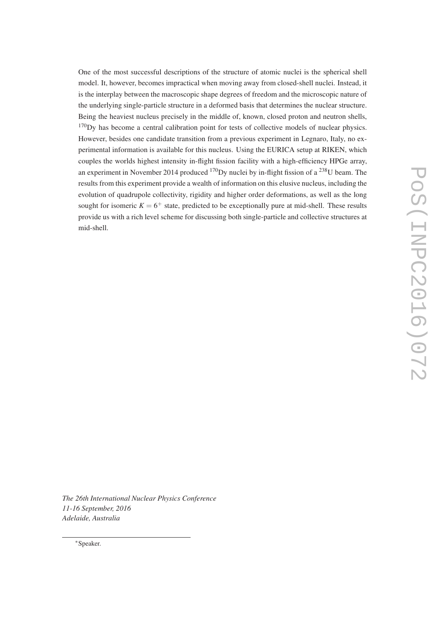One of the most successful descriptions of the structure of atomic nuclei is the spherical shell model. It, however, becomes impractical when moving away from closed-shell nuclei. Instead, it is the interplay between the macroscopic shape degrees of freedom and the microscopic nature of the underlying single-particle structure in a deformed basis that determines the nuclear structure. Being the heaviest nucleus precisely in the middle of, known, closed proton and neutron shells, <sup>170</sup>Dy has become a central calibration point for tests of collective models of nuclear physics. However, besides one candidate transition from a previous experiment in Legnaro, Italy, no experimental information is available for this nucleus. Using the EURICA setup at RIKEN, which couples the worlds highest intensity in-flight fission facility with a high-efficiency HPGe array, an experiment in November 2014 produced  $^{170}$ Dy nuclei by in-flight fission of a  $^{238}$ U beam. The results from this experiment provide a wealth of information on this elusive nucleus, including the evolution of quadrupole collectivity, rigidity and higher order deformations, as well as the long sought for isomeric  $K = 6^+$  state, predicted to be exceptionally pure at mid-shell. These results provide us with a rich level scheme for discussing both single-particle and collective structures at mid-shell.

*The 26th International Nuclear Physics Conference 11-16 September, 2016 Adelaide, Australia*

<sup>∗</sup>Speaker.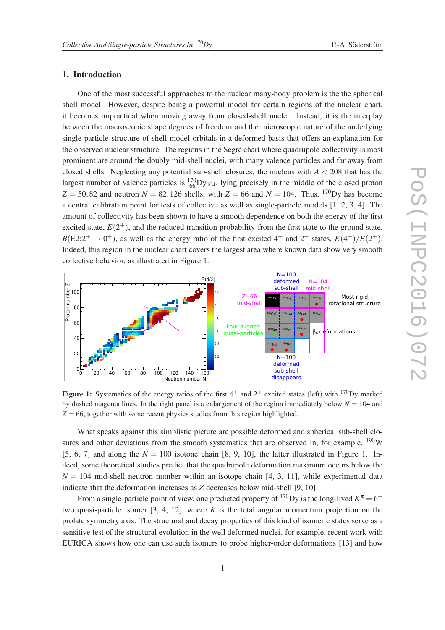## 1. Introduction

One of the most successful approaches to the nuclear many-body problem is the the spherical shell model. However, despite being a powerful model for certain regions of the nuclear chart, it becomes impractical when moving away from closed-shell nuclei. Instead, it is the interplay between the macroscopic shape degrees of freedom and the microscopic nature of the underlying single-particle structure of shell-model orbitals in a deformed basis that offers an explanation for the observed nuclear structure. The regions in the Segré chart where quadrupole collectivity is most prominent are around the doubly mid-shell nuclei, with many valence particles and far away from closed shells. Neglecting any potential sub-shell closures, the nucleus with  $A < 208$  that has the largest number of valence particles is  ${}^{170}_{66}$ Dy<sub>104</sub>, lying precisely in the middle of the closed proton  $Z = 50,82$  and neutron  $N = 82,126$  shells, with  $Z = 66$  and  $N = 104$ . Thus, <sup>170</sup>Dy has become a central calibration point for tests of collective as well as single-particle models [1, 2, 3, 4]. The amount of collectivity has been shown to have a smooth dependence on both the energy of the first excited state,  $E(2^+)$ , and the reduced transition probability from the first state to the ground state,  $B(E2:2^+ \rightarrow 0^+)$ , as well as the energy ratio of the first excited  $4^+$  and  $2^+$  states,  $E(4^+)/E(2^+)$ . Indeed, this region in the nuclear chart covers the largest area where known data show very smooth collective behavior, as illustrated in Figure 1.



Figure 1: Systematics of the energy ratios of the first  $4^+$  and  $2^+$  excited states (left) with <sup>170</sup>Dy marked by dashed magenta lines. In the right panel is a enlargement of the region immediately below  $N = 104$  and  $Z = 66$ , together with some recent physics studies from this region highlighted.

What speaks against this simplistic picture are possible deformed and spherical sub-shell closures and other deviations from the smooth systematics that are observed in, for example, <sup>190</sup>W [5, 6, 7] and along the  $N = 100$  isotone chain [8, 9, 10], the latter illustrated in Figure 1. Indeed, some theoretical studies predict that the quadrupole deformation maximum occurs below the  $N = 104$  mid-shell neutron number within an isotope chain [4, 3, 11], while experimental data indicate that the deformation increases as *Z* decreases below mid-shell [9, 10].

From a single-particle point of view, one predicted property of <sup>170</sup>Dy is the long-lived  $K^{\pi} = 6^+$ two quasi-particle isomer [3, 4, 12], where *K* is the total angular momentum projection on the prolate symmetry axis. The structural and decay properties of this kind of isomeric states serve as a sensitive test of the structural evolution in the well deformed nuclei. for example, recent work with EURICA shows how one can use such isomers to probe higher-order deformations [13] and how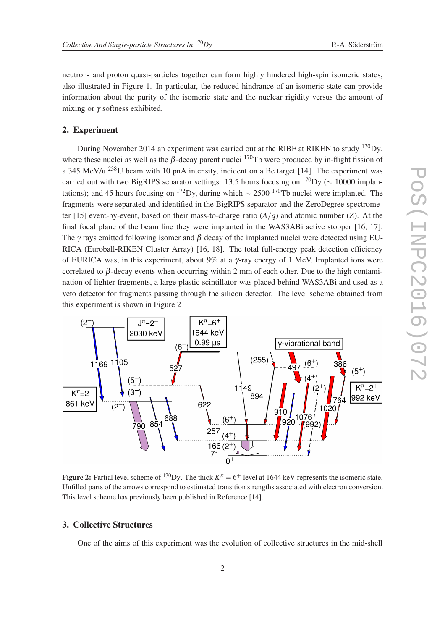neutron- and proton quasi-particles together can form highly hindered high-spin isomeric states, also illustrated in Figure 1. In particular, the reduced hindrance of an isomeric state can provide information about the purity of the isomeric state and the nuclear rigidity versus the amount of mixing or  $\gamma$  softness exhibited.

## 2. Experiment

During November 2014 an experiment was carried out at the RIBF at RIKEN to study <sup>170</sup>Dy, where these nuclei as well as the  $\beta$ -decay parent nuclei <sup>170</sup>Tb were produced by in-flight fission of a 345 MeV/u <sup>238</sup>U beam with 10 pnA intensity, incident on a Be target [14]. The experiment was carried out with two BigRIPS separator settings: 13.5 hours focusing on  $\frac{170}{\text{Dy}}$  ( $\sim 10000$  implantations); and 45 hours focusing on <sup>172</sup>Dy, during which  $\sim$  2500 <sup>170</sup>Tb nuclei were implanted. The fragments were separated and identified in the BigRIPS separator and the ZeroDegree spectrometer [15] event-by-event, based on their mass-to-charge ratio (*A*/*q*) and atomic number (*Z*). At the final focal plane of the beam line they were implanted in the WAS3ABi active stopper [16, 17]. The  $\gamma$  rays emitted following isomer and  $\beta$  decay of the implanted nuclei were detected using EU-RICA (Euroball-RIKEN Cluster Array) [16, 18]. The total full-energy peak detection efficiency of EURICA was, in this experiment, about 9% at a  $\gamma$ -ray energy of 1 MeV. Implanted ions were correlated to β-decay events when occurring within 2 mm of each other. Due to the high contamination of lighter fragments, a large plastic scintillator was placed behind WAS3ABi and used as a veto detector for fragments passing through the silicon detector. The level scheme obtained from this experiment is shown in Figure 2



Figure 2: Partial level scheme of <sup>170</sup>Dy. The thick  $K^{\pi} = 6^+$  level at 1644 keV represents the isomeric state. Unfilled parts of the arrows correspond to estimated transition strengths associated with electron conversion. This level scheme has previously been published in Reference [14].

# 3. Collective Structures

One of the aims of this experiment was the evolution of collective structures in the mid-shell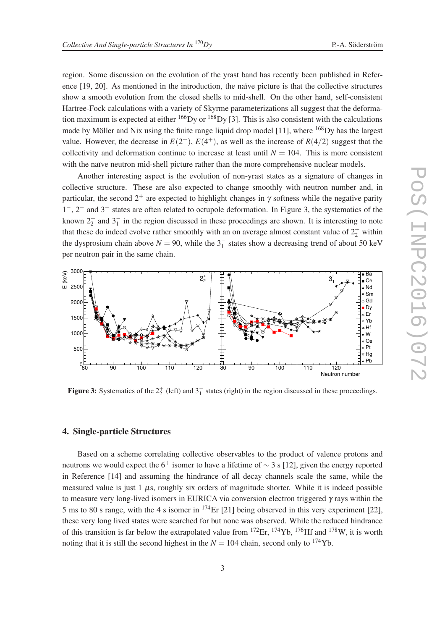region. Some discussion on the evolution of the yrast band has recently been published in Reference [19, 20]. As mentioned in the introduction, the naïve picture is that the collective structures show a smooth evolution from the closed shells to mid-shell. On the other hand, self-consistent Hartree-Fock calculations with a variety of Skyrme parameterizations all suggest that the deformation maximum is expected at either  $^{166}$ Dy or  $^{168}$ Dy [3]. This is also consistent with the calculations made by Möller and Nix using the finite range liquid drop model [11], where <sup>168</sup>Dy has the largest value. However, the decrease in  $E(2^+)$ ,  $E(4^+)$ , as well as the increase of  $R(4/2)$  suggest that the collectivity and deformation continue to increase at least until  $N = 104$ . This is more consistent with the naïve neutron mid-shell picture rather than the more comprehensive nuclear models.

Another interesting aspect is the evolution of non-yrast states as a signature of changes in collective structure. These are also expected to change smoothly with neutron number and, in particular, the second  $2^+$  are expected to highlight changes in  $\gamma$  softness while the negative parity 1 <sup>−</sup>, 2<sup>−</sup> and 3<sup>−</sup> states are often related to octupole deformation. In Figure 3, the systematics of the known  $2^+_2$  and  $3^-_1$  in the region discussed in these proceedings are shown. It is interesting to note that these do indeed evolve rather smoothly with an on average almost constant value of  $2^+_2$  within the dysprosium chain above  $N = 90$ , while the  $3^{-}_{1}$  states show a decreasing trend of about 50 keV per neutron pair in the same chain.



**Figure 3:** Systematics of the  $2^+_2$  (left) and  $3^-_1$  states (right) in the region discussed in these proceedings.

## 4. Single-particle Structures

Based on a scheme correlating collective observables to the product of valence protons and neutrons we would expect the 6<sup>+</sup> isomer to have a lifetime of  $\sim$  3 s [12], given the energy reported in Reference [14] and assuming the hindrance of all decay channels scale the same, while the measured value is just  $1 \mu s$ , roughly six orders of magnitude shorter. While it is indeed possible to measure very long-lived isomers in EURICA via conversion electron triggered  $\gamma$  rays within the 5 ms to 80 s range, with the 4 s isomer in  $^{174}$ Er [21] being observed in this very experiment [22], these very long lived states were searched for but none was observed. While the reduced hindrance of this transition is far below the extrapolated value from  $^{172}Er$ ,  $^{174}Yb$ ,  $^{176}Hf$  and  $^{178}W$ , it is worth noting that it is still the second highest in the  $N = 104$  chain, second only to <sup>174</sup>Yb.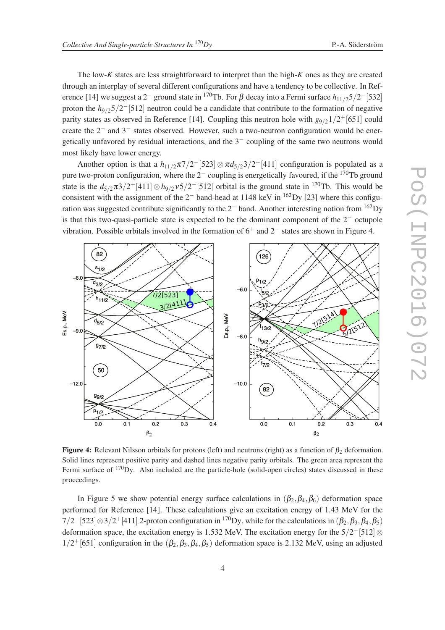The low-*K* states are less straightforward to interpret than the high-*K* ones as they are created through an interplay of several different configurations and have a tendency to be collective. In Reference [14] we suggest a 2<sup>-</sup> ground state in <sup>170</sup>Tb. For β decay into a Fermi surface  $h_{11/2}5/2$ <sup>-</sup>[532] proton the  $h_{9/2}5/2$ <sup>-</sup>[512] neutron could be a candidate that contribute to the formation of negative parity states as observed in Reference [14]. Coupling this neutron hole with  $g_{9/2}1/2^+$  [651] could create the 2<sup>−</sup> and 3<sup>−</sup> states observed. However, such a two-neutron configuration would be energetically unfavored by residual interactions, and the 3<sup>−</sup> coupling of the same two neutrons would most likely have lower energy.

Another option is that a  $h_{11/2}\pi7/2$ <sup>-</sup>[523]  $\otimes \pi d_{5/2}3/2$ <sup>+</sup>[411] configuration is populated as a pure two-proton configuration, where the  $2^-$  coupling is energetically favoured, if the <sup>170</sup>Tb ground state is the  $d_{5/2}\pi 3/2$ <sup>+</sup>[411] ⊗  $h_{9/2}v_5/2$ <sup>-</sup>[512] orbital is the ground state in <sup>170</sup>Tb. This would be consistent with the assignment of the  $2^-$  band-head at 1148 keV in <sup>162</sup>Dy [23] where this configuration was suggested contribute significantly to the  $2^-$  band. Another interesting notion from  $\frac{162}$ Dy is that this two-quasi-particle state is expected to be the dominant component of the 2<sup>−</sup> octupole vibration. Possible orbitals involved in the formation of  $6^+$  and  $2^-$  states are shown in Figure 4.



Figure 4: Relevant Nilsson orbitals for protons (left) and neutrons (right) as a function of  $\beta_2$  deformation. Solid lines represent positive parity and dashed lines negative parity orbitals. The green area represent the Fermi surface of <sup>170</sup>Dy. Also included are the particle-hole (solid-open circles) states discussed in these proceedings.

In Figure 5 we show potential energy surface calculations in  $(\beta_2, \beta_4, \beta_6)$  deformation space performed for Reference [14]. These calculations give an excitation energy of 1.43 MeV for the  $7/2$ <sup>-</sup>[523]⊗3/2<sup>+</sup>[411] 2-proton configuration in <sup>170</sup>Dy, while for the calculations in ( $\beta_2, \beta_3, \beta_4, \beta_5$ ) deformation space, the excitation energy is 1.532 MeV. The excitation energy for the  $5/2$ <sup>-</sup>[512] ⊗  $1/2$ <sup>+</sup>[651] configuration in the  $(\beta_2, \beta_3, \beta_4, \beta_5)$  deformation space is 2.132 MeV, using an adjusted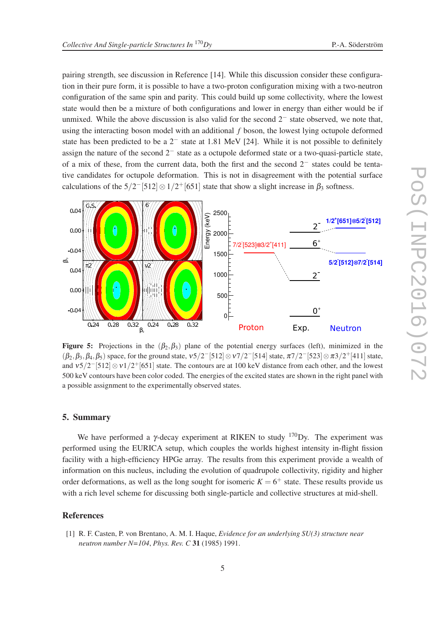pairing strength, see discussion in Reference [14]. While this discussion consider these configuration in their pure form, it is possible to have a two-proton configuration mixing with a two-neutron configuration of the same spin and parity. This could build up some collectivity, where the lowest state would then be a mixture of both configurations and lower in energy than either would be if unmixed. While the above discussion is also valid for the second  $2<sup>-</sup>$  state observed, we note that, using the interacting boson model with an additional *f* boson, the lowest lying octupole deformed state has been predicted to be a 2<sup>−</sup> state at 1.81 MeV [24]. While it is not possible to definitely assign the nature of the second 2<sup>−</sup> state as a octupole deformed state or a two-quasi-particle state, of a mix of these, from the current data, both the first and the second 2<sup>−</sup> states could be tentative candidates for octupole deformation. This is not in disagreement with the potential surface calculations of the  $5/2$ <sup>-</sup>[512]  $\otimes 1/2$ <sup>+</sup>[651] state that show a slight increase in  $\beta_3$  softness.



**Figure 5:** Projections in the  $(\beta_2, \beta_3)$  plane of the potential energy surfaces (left), minimized in the  $(\beta_2, \beta_3, \beta_4, \beta_5)$  space, for the ground state,  $v5/2$ <sup>-[512]</sup>  $\otimes v7/2$ <sup>-[514]</sup> state,  $\pi7/2$ <sup>-[523]</sup>  $\otimes \pi3/2$ <sup>+</sup>[411] state, and  $v5/2$ <sup>-</sup>[512] ⊗  $v1/2$ <sup>+</sup>[651] state. The contours are at 100 keV distance from each other, and the lowest 500 keV contours have been color coded. The energies of the excited states are shown in the right panel with a possible assignment to the experimentally observed states.

## 5. Summary

We have performed a  $\gamma$ -decay experiment at RIKEN to study  $^{170}$ Dy. The experiment was performed using the EURICA setup, which couples the worlds highest intensity in-flight fission facility with a high-efficiency HPGe array. The results from this experiment provide a wealth of information on this nucleus, including the evolution of quadrupole collectivity, rigidity and higher order deformations, as well as the long sought for isomeric  $K = 6^+$  state. These results provide us with a rich level scheme for discussing both single-particle and collective structures at mid-shell.

#### References

[1] R. F. Casten, P. von Brentano, A. M. I. Haque, *Evidence for an underlying SU(3) structure near neutron number N=104*, *Phys. Rev. C* 31 (1985) 1991.